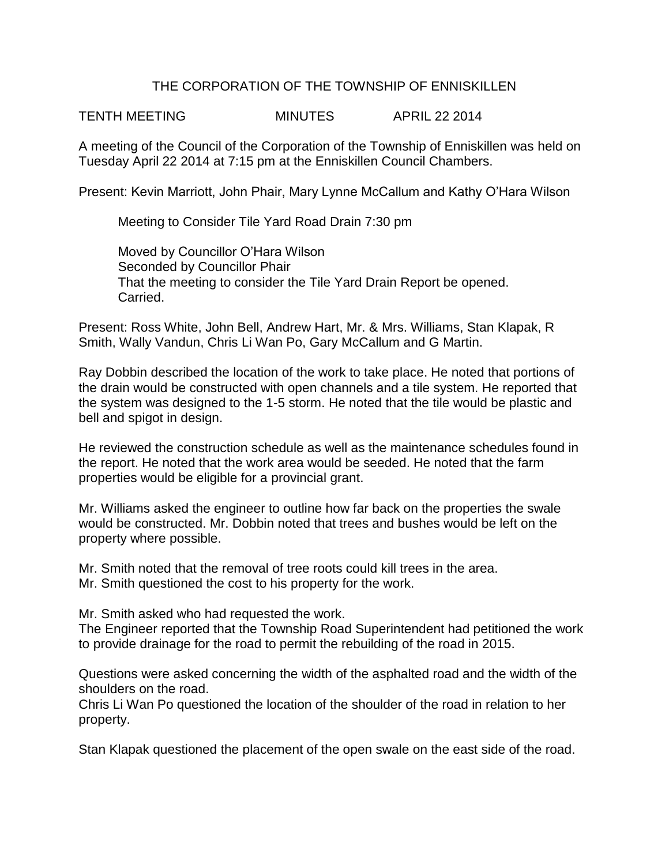### THE CORPORATION OF THE TOWNSHIP OF ENNISKILLEN

TENTH MEETING MINUTES APRIL 22 2014

A meeting of the Council of the Corporation of the Township of Enniskillen was held on Tuesday April 22 2014 at 7:15 pm at the Enniskillen Council Chambers.

Present: Kevin Marriott, John Phair, Mary Lynne McCallum and Kathy O'Hara Wilson

Meeting to Consider Tile Yard Road Drain 7:30 pm

Moved by Councillor O'Hara Wilson Seconded by Councillor Phair That the meeting to consider the Tile Yard Drain Report be opened. Carried.

Present: Ross White, John Bell, Andrew Hart, Mr. & Mrs. Williams, Stan Klapak, R Smith, Wally Vandun, Chris Li Wan Po, Gary McCallum and G Martin.

Ray Dobbin described the location of the work to take place. He noted that portions of the drain would be constructed with open channels and a tile system. He reported that the system was designed to the 1-5 storm. He noted that the tile would be plastic and bell and spigot in design.

He reviewed the construction schedule as well as the maintenance schedules found in the report. He noted that the work area would be seeded. He noted that the farm properties would be eligible for a provincial grant.

Mr. Williams asked the engineer to outline how far back on the properties the swale would be constructed. Mr. Dobbin noted that trees and bushes would be left on the property where possible.

Mr. Smith noted that the removal of tree roots could kill trees in the area. Mr. Smith questioned the cost to his property for the work.

Mr. Smith asked who had requested the work.

The Engineer reported that the Township Road Superintendent had petitioned the work to provide drainage for the road to permit the rebuilding of the road in 2015.

Questions were asked concerning the width of the asphalted road and the width of the shoulders on the road.

Chris Li Wan Po questioned the location of the shoulder of the road in relation to her property.

Stan Klapak questioned the placement of the open swale on the east side of the road.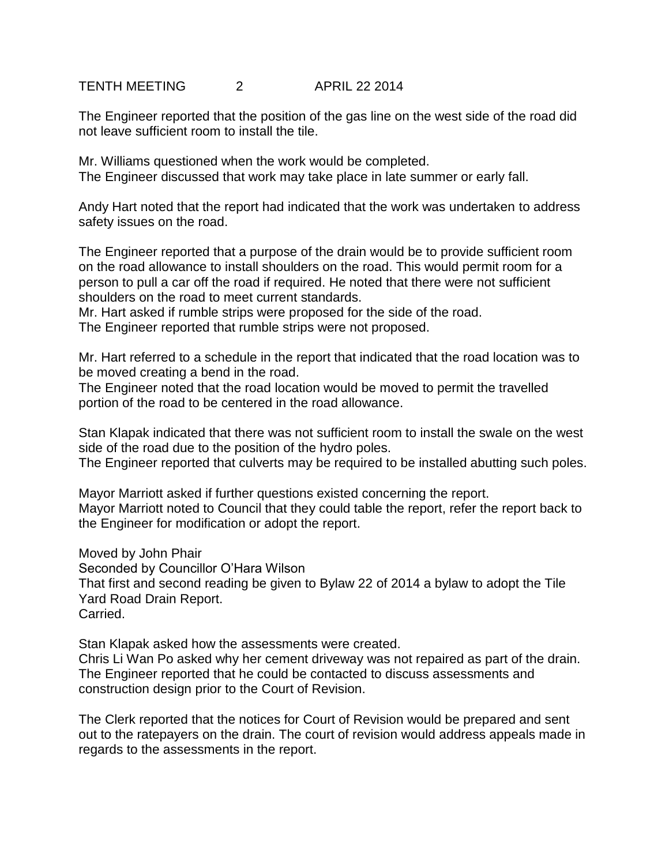# TENTH MEETING 2 APRIL 22 2014

The Engineer reported that the position of the gas line on the west side of the road did not leave sufficient room to install the tile.

Mr. Williams questioned when the work would be completed. The Engineer discussed that work may take place in late summer or early fall.

Andy Hart noted that the report had indicated that the work was undertaken to address safety issues on the road.

The Engineer reported that a purpose of the drain would be to provide sufficient room on the road allowance to install shoulders on the road. This would permit room for a person to pull a car off the road if required. He noted that there were not sufficient shoulders on the road to meet current standards.

Mr. Hart asked if rumble strips were proposed for the side of the road. The Engineer reported that rumble strips were not proposed.

Mr. Hart referred to a schedule in the report that indicated that the road location was to be moved creating a bend in the road.

The Engineer noted that the road location would be moved to permit the travelled portion of the road to be centered in the road allowance.

Stan Klapak indicated that there was not sufficient room to install the swale on the west side of the road due to the position of the hydro poles.

The Engineer reported that culverts may be required to be installed abutting such poles.

Mayor Marriott asked if further questions existed concerning the report. Mayor Marriott noted to Council that they could table the report, refer the report back to the Engineer for modification or adopt the report.

Moved by John Phair Seconded by Councillor O'Hara Wilson That first and second reading be given to Bylaw 22 of 2014 a bylaw to adopt the Tile Yard Road Drain Report. Carried.

Stan Klapak asked how the assessments were created. Chris Li Wan Po asked why her cement driveway was not repaired as part of the drain. The Engineer reported that he could be contacted to discuss assessments and construction design prior to the Court of Revision.

The Clerk reported that the notices for Court of Revision would be prepared and sent out to the ratepayers on the drain. The court of revision would address appeals made in regards to the assessments in the report.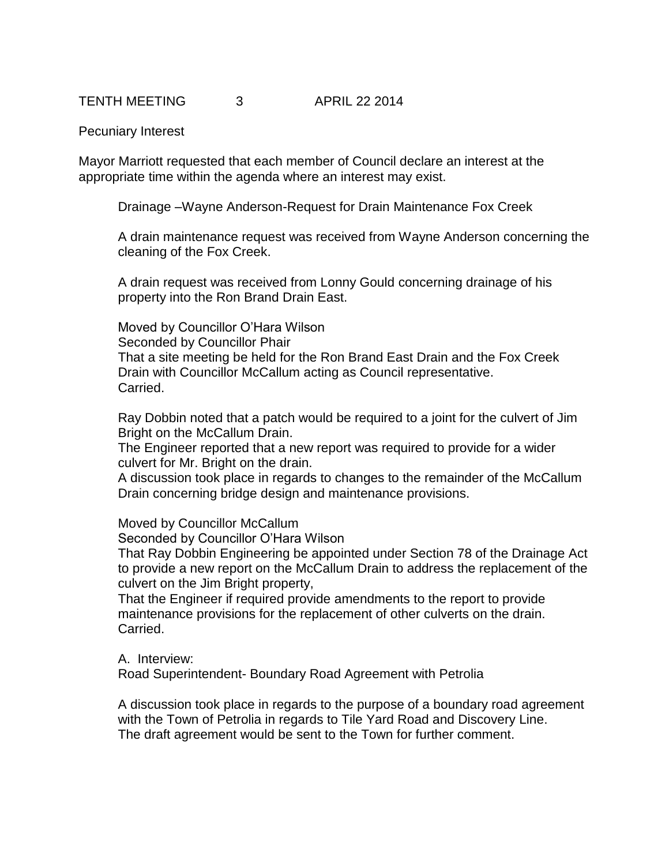### TENTH MEETING 3 APRIL 22 2014

#### Pecuniary Interest

Mayor Marriott requested that each member of Council declare an interest at the appropriate time within the agenda where an interest may exist.

Drainage –Wayne Anderson-Request for Drain Maintenance Fox Creek

A drain maintenance request was received from Wayne Anderson concerning the cleaning of the Fox Creek.

A drain request was received from Lonny Gould concerning drainage of his property into the Ron Brand Drain East.

Moved by Councillor O'Hara Wilson Seconded by Councillor Phair That a site meeting be held for the Ron Brand East Drain and the Fox Creek Drain with Councillor McCallum acting as Council representative. Carried.

Ray Dobbin noted that a patch would be required to a joint for the culvert of Jim Bright on the McCallum Drain.

The Engineer reported that a new report was required to provide for a wider culvert for Mr. Bright on the drain.

A discussion took place in regards to changes to the remainder of the McCallum Drain concerning bridge design and maintenance provisions.

Moved by Councillor McCallum

Seconded by Councillor O'Hara Wilson

That Ray Dobbin Engineering be appointed under Section 78 of the Drainage Act to provide a new report on the McCallum Drain to address the replacement of the culvert on the Jim Bright property,

That the Engineer if required provide amendments to the report to provide maintenance provisions for the replacement of other culverts on the drain. Carried.

A. Interview:

Road Superintendent- Boundary Road Agreement with Petrolia

A discussion took place in regards to the purpose of a boundary road agreement with the Town of Petrolia in regards to Tile Yard Road and Discovery Line. The draft agreement would be sent to the Town for further comment.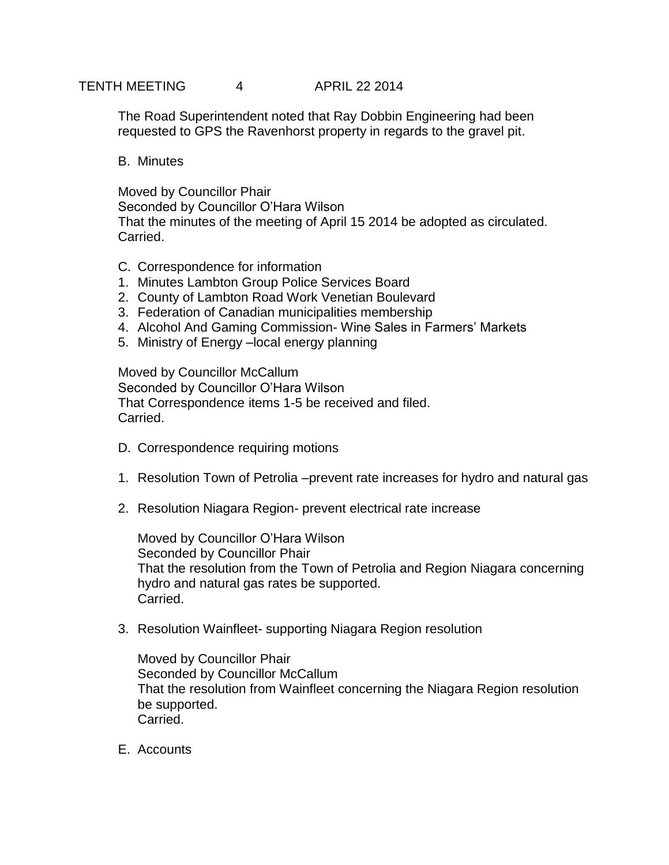# TENTH MEETING 4 APRIL 22 2014

The Road Superintendent noted that Ray Dobbin Engineering had been requested to GPS the Ravenhorst property in regards to the gravel pit.

B. Minutes

Moved by Councillor Phair Seconded by Councillor O'Hara Wilson That the minutes of the meeting of April 15 2014 be adopted as circulated. Carried.

- C. Correspondence for information
- 1. Minutes Lambton Group Police Services Board
- 2. County of Lambton Road Work Venetian Boulevard
- 3. Federation of Canadian municipalities membership
- 4. Alcohol And Gaming Commission- Wine Sales in Farmers' Markets
- 5. Ministry of Energy –local energy planning

Moved by Councillor McCallum Seconded by Councillor O'Hara Wilson That Correspondence items 1-5 be received and filed. Carried.

- D. Correspondence requiring motions
- 1. Resolution Town of Petrolia –prevent rate increases for hydro and natural gas
- 2. Resolution Niagara Region- prevent electrical rate increase

Moved by Councillor O'Hara Wilson Seconded by Councillor Phair That the resolution from the Town of Petrolia and Region Niagara concerning hydro and natural gas rates be supported. Carried.

3. Resolution Wainfleet- supporting Niagara Region resolution

Moved by Councillor Phair Seconded by Councillor McCallum That the resolution from Wainfleet concerning the Niagara Region resolution be supported. Carried.

E. Accounts